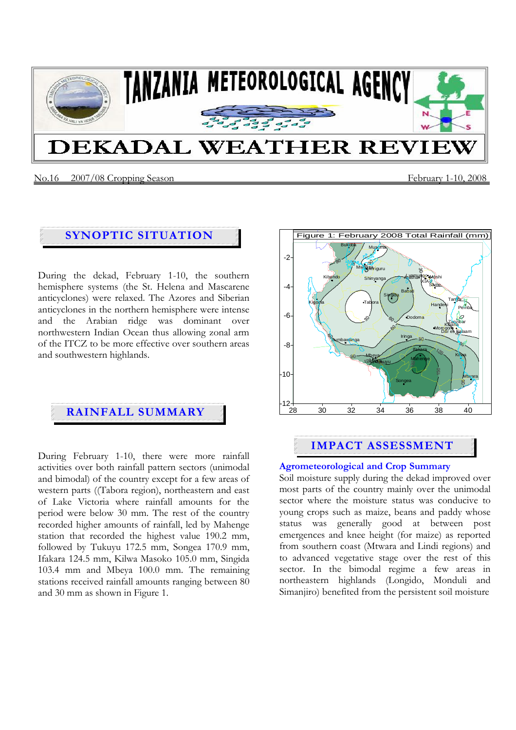

#### No.16 2007/08 Cropping SeasonFebruary 1-10, 2008

# **SYNOPTIC SITUATION**

During the dekad, February 1-10, the southern hemisphere systems (the St. Helena and Mascarene anticyclones) were relaxed. The Azores and Siberian anticyclones in the northern hemisphere were intense and the Arabian ridge was dominant over northwestern Indian Ocean thus allowing zonal arm of the ITCZ to be more effective over southern areas and southwestern highlands.

# **RAINFALL SUMMARY**

During February 1-10, there were more rainfall activities over both rainfall pattern sectors (unimodal and bimodal) of the country except for a few areas of western parts ((Tabora region), northeastern and east of Lake Victoria where rainfall amounts for the period were below 30 mm. The rest of the country recorded higher amounts of rainfall, led by Mahenge station that recorded the highest value 190.2 mm, followed by Tukuyu 172.5 mm, Songea 170.9 mm, Ifakara 124.5 mm, Kilwa Masoko 105.0 mm, Singida 103.4 mm and Mbeya 100.0 mm. The remaining stations received rainfall amounts ranging between 80 and 30 mm as shown in Figure 1.



# **IMPACT ASSESSMENT**

#### **Agrometeorological and Crop Summary**

Soil moisture supply during the dekad improved over most parts of the country mainly over the unimodal sector where the moisture status was conducive to young crops such as maize, beans and paddy whose status was generally good at between post emergences and knee height (for maize) as reported from southern coast (Mtwara and Lindi regions) and to advanced vegetative stage over the rest of this sector. In the bimodal regime a few areas in northeastern highlands (Longido, Monduli and Simanjiro) benefited from the persistent soil moisture